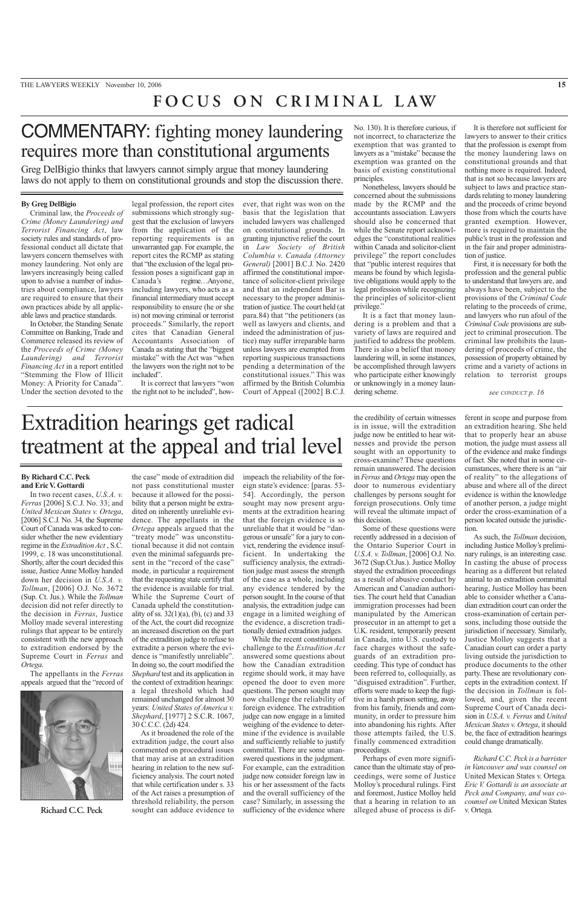## **FOCUS ON CRIMINAL LAW**

# COMMENTARY: fighting money laundering requires more than constitutional arguments

Greg DelBigio thinks that lawyers cannot simply argue that money laundering laws do not apply to them on constitutional grounds and stop the discussion there.

### **By Greg DelBigio**

Criminal law, the *Proceeds of Crime (Money Laundering) and Terrorist Financing Act*, law society rules and standards of professional conduct all dictate that lawyers concern themselves with money laundering. Not only are lawyers increasingly being called upon to advise a number of industries about compliance, lawyers are required to ensure that their own practices abide by all applicable laws and practice standards.

In October, the Standing Senate Committee on Banking, Trade and Commerce released its review of the *Proceeds of Crime (Money Laundering) and Terrorist Financing Act* in a report entitled "Stemming the Flow of Illicit Money: A Priority for Canada". Under the section devoted to the

legal profession, the report cites submissions which strongly suggest that the exclusion of lawyers from the application of the reporting requirements is an unwarranted gap. For example, the report cites the RCMP as stating that "the exclusion of the legal profession poses a significant gap in Canada's regime…Anyone, including lawyers, who acts as a financial intermediary must accept responsibility to ensure (he or she is) not moving criminal or terrorist proceeds." Similarly, the report cites that Canadian General Accountants Association of Canada as stating that the "biggest mistake" with the Act was "when the lawyers won the right not to be included".

It is correct that lawyers "won the right not to be included", how-

ever, that right was won on the basis that the legislation that included lawyers was challenged on constitutional grounds. In granting injunctive relief the court in *Law Society of British Columbia v. Canada (Attorney General)* [2001] B.C.J. No. 2420 affirmed the constitutional importance of solicitor-client privilege and that an independent Bar is necessary to the proper administration of justice. The court held (at para.84) that "the petitioners (as well as lawyers and clients, and indeed the administration of justice) may suffer irreparable harm unless lawyers are exempted from reporting suspicious transactions pending a determination of the constitutional issues." This was affirmed by the British Columbia Court of Appeal ([2002] B.C.J.

No. 130). It is therefore curious, if not incorrect, to characterize the exemption that was granted to lawyers as a "mistake" because the exemption was granted on the basis of existing constitutional principles.

Nonetheless, lawyers should be concerned about the submissions made by the RCMP and the accountants association. Lawyers should also be concerned that while the Senate report acknowledges the "constitutional realities within Canada and solicitor-client privilege" the report concludes that "public interest requires that means be found by which legislative obligations would apply to the legal profession while recognizing the principles of solicitor-client privilege."

It is a fact that money laundering is a problem and that a variety of laws are required and justified to address the problem. There is also a belief that money laundering will, in some instances, be accomplished through lawyers who participate either knowingly or unknowingly in a money laundering scheme.

It is therefore not sufficient for lawyers to answer to their critics that the profession is exempt from the money laundering laws on constitutional grounds and that nothing more is required. Indeed, that is not so because lawyers are subject to laws and practice standards relating to money laundering and the proceeds of crime beyond those from which the courts have granted exemption. However, more is required to maintain the public's trust in the profession and in the fair and proper administration of justice.

First, it is necessary for both the profession and the general public to understand that lawyers are, and always have been, subject to the provisions of the *Criminal Code* relating to the proceeds of crime, and lawyers who run afoul of the *Criminal Code* provisions are subject to criminal prosecution. The criminal law prohibits the laundering of proceeds of crime, the possession of property obtained by crime and a variety of actions in relation to terrorist groups

### *see CONDUCT p. 16*

Extradition hearings get radical treatment at the appeal and trial level

### **By Richard C.C. Peck and Eric V. Gottardi**

In two recent cases, *U.S.A. v. Ferras* [2006] S.C.J. No. 33; and *United Mexican States v. Ortega*, [2006] S.C.J. No. 34, the Supreme Court of Canada was asked to consider whether the new evidentiary regime in the *Extradition Act* , S.C. 1999, c. 18 was unconstitutional. Shortly, after the court decided this issue, Justice Anne Molloy handed down her decision in *U.S.A. v. Tollman*, [2006] O.J. No. 3672 (Sup. Ct. Jus.). While the *Tollman* decision did not refer directly to the decision in *Ferras*, Justice Molloy made several interesting rulings that appear to be entirely consistent with the new approach to extradition endorsed by the Supreme Court in *Ferras* and *Ortega*.

The appellants in the *Ferras* appeals argued that the "record of



**Richard C.C. Peck**

the case" mode of extradition did not pass constitutional muster because it allowed for the possibility that a person might be extradited on inherently unreliable evidence. The appellants in the *Ortega* appeals argued that the "treaty mode" was unconstitutional because it did not contain even the minimal safeguards present in the "record of the case" mode, in particular a requirement that the requesting state certify that the evidence is available for trial. While the Supreme Court of Canada upheld the constitutionality of ss.  $32(1)(a)$ , (b), (c) and 33 of the Act, the court did recognize an increased discretion on the part of the extradition judge to refuse to extradite a person where the evidence is "manifestly unreliable". In doing so, the court modified the *Shephard* test and its application in the context of extradition hearings: a legal threshold which had remained unchanged for almost 30 years: *United States of America v. Shephard*, [1977] 2 S.C.R. 1067, 30 C.C.C. (2d) 424.

As it broadened the role of the extradition judge, the court also commented on procedural issues that may arise at an extradition hearing in relation to the new sufficiency analysis. The court noted that while certification under s. 33 of the Act raises a presumption of threshold reliability, the person sought can adduce evidence to impeach the reliability of the foreign state's evidence: [paras. 53- 54]. Accordingly, the person sought may now present arguments at the extradition hearing that the foreign evidence is so unreliable that it would be "dangerous or unsafe" for a jury to convict, rendering the evidence insufficient. In undertaking the sufficiency analysis, the extradition judge must assess the strength of the case as a whole, including any evidence tendered by the person sought. In the course of that analysis, the extradition judge can engage in a limited weighing of the evidence, a discretion traditionally denied extradition judges.

While the recent constitutional challenge to the *Extradition Act* answered some questions about how the Canadian extradition regime should work, it may have opened the door to even more questions. The person sought may now challenge the reliability of foreign evidence. The extradition judge can now engage in a limited weighing of the evidence to determine if the evidence is available and sufficiently reliable to justify committal. There are some unanswered questions in the judgment. For example, can the extradition judge now consider foreign law in his or her assessment of the facts and the overall sufficiency of the case? Similarly, in assessing the sufficiency of the evidence where

the credibility of certain witnesses is in issue, will the extradition judge now be entitled to hear witnesses and provide the person sought with an opportunity to cross-examine? These questions remain unanswered. The decision in *Ferras* and *Ortega* may open the door to numerous evidentiary challenges by persons sought for foreign prosecutions. Only time will reveal the ultimate impact of this decision.

Some of these questions were recently addressed in a decision of the Ontario Superior Court in *U.S.A. v. Tollman*, [2006] O.J. No. 3672 (Sup.Ct.Jus.). Justice Molloy stayed the extradition proceedings as a result of abusive conduct by American and Canadian authorities. The court held that Canadian immigration processes had been manipulated by the American prosecutor in an attempt to get a U.K. resident, temporarily present in Canada, into U.S. custody to face charges without the safeguards of an extradition proceeding. This type of conduct has been referred to, colloquially, as "disguised extradition". Further, efforts were made to keep the fugitive in a harsh prison setting, away from his family, friends and community, in order to pressure him into abandoning his rights. After those attempts failed, the U.S. finally commenced extradition proceedings.

Perhaps of even more significance than the ultimate stay of proceedings, were some of Justice Molloy's procedural rulings. First and foremost, Justice Molloy held that a hearing in relation to an alleged abuse of process is different in scope and purpose from an extradition hearing. She held that to properly hear an abuse motion, the judge must assess all of the evidence and make findings of fact. She noted that in some circumstances, where there is an "air of reality" to the allegations of abuse and where all of the direct evidence is within the knowledge of another person, a judge might order the cross-examination of a person located outside the jurisdiction.

As such, the *Tollman* decision, including Justice Molloy's preliminary rulings, is an interesting case. In casting the abuse of process hearing as a different but related animal to an extradition committal hearing, Justice Molloy has been able to consider whether a Canadian extradition court can order the cross-examination of certain persons, including those outside the jurisdiction if necessary. Similarly, Justice Molloy suggests that a Canadian court can order a party living outside the jurisdiction to produce documents to the other party. These are revolutionary concepts in the extradition context. If the decision in *Tollman* is followed, and, given the recent Supreme Court of Canada decision in *U.S.A. v. Ferras* and *United Mexican States v. Ortega*, it should be, the face of extradition hearings could change dramatically.

*Richard C.C. Peck is a barrister in Vancouver and was counsel on* United Mexican States v. Ortega*. Eric V. Gottardi is an associate at Peck and Company, and was cocounsel on* United Mexican States v. Ortega*.*